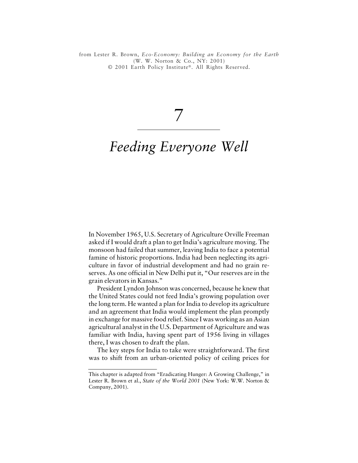*Feeding Everyone Well 145* © 2001 Earth Policy Institute®. All Rights Reserved.from Lester R. Brown, *Eco-Economy: Building an Economy for the Earth* (W. W. Norton & Co., NY: 2001)

7

# *Feeding Everyone Well*

In November 1965, U.S. Secretary of Agriculture Orville Freeman asked if I would draft a plan to get India's agriculture moving. The monsoon had failed that summer, leaving India to face a potential famine of historic proportions. India had been neglecting its agriculture in favor of industrial development and had no grain reserves. As one official in New Delhi put it, "Our reserves are in the grain elevators in Kansas."

President Lyndon Johnson was concerned, because he knew that the United States could not feed India's growing population over the long term. He wanted a plan for India to develop its agriculture and an agreement that India would implement the plan promptly in exchange for massive food relief. Since I was working as an Asian agricultural analyst in the U.S. Department of Agriculture and was familiar with India, having spent part of 1956 living in villages there, I was chosen to draft the plan.

The key steps for India to take were straightforward. The first was to shift from an urban-oriented policy of ceiling prices for

This chapter is adapted from "Eradicating Hunger: A Growing Challenge," in Lester R. Brown et al., *State of the World 2001* (New York: W.W. Norton & Company, 2001).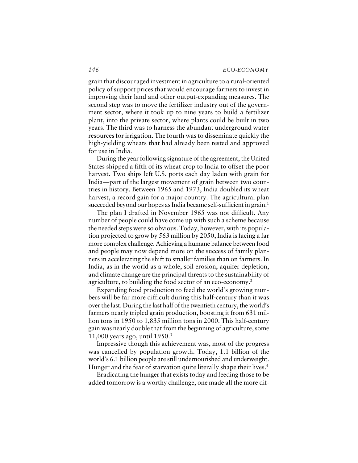grain that discouraged investment in agriculture to a rural-oriented policy of support prices that would encourage farmers to invest in improving their land and other output-expanding measures. The second step was to move the fertilizer industry out of the government sector, where it took up to nine years to build a fertilizer plant, into the private sector, where plants could be built in two years. The third was to harness the abundant underground water resources for irrigation. The fourth was to disseminate quickly the high-yielding wheats that had already been tested and approved for use in India.

During the year following signature of the agreement, the United States shipped a fifth of its wheat crop to India to offset the poor harvest. Two ships left U.S. ports each day laden with grain for India—part of the largest movement of grain between two countries in history. Between 1965 and 1973, India doubled its wheat harvest, a record gain for a major country. The agricultural plan succeeded beyond our hopes as India became self-sufficient in grain.<sup>1</sup>

The plan I drafted in November 1965 was not difficult. Any number of people could have come up with such a scheme because the needed steps were so obvious. Today, however, with its population projected to grow by 563 million by 2050, India is facing a far more complex challenge. Achieving a humane balance between food and people may now depend more on the success of family planners in accelerating the shift to smaller families than on farmers. In India, as in the world as a whole, soil erosion, aquifer depletion, and climate change are the principal threats to the sustainability of agriculture, to building the food sector of an eco-economy.<sup>2</sup>

Expanding food production to feed the world's growing numbers will be far more difficult during this half-century than it was over the last. During the last half of the twentieth century, the world's farmers nearly tripled grain production, boosting it from 631 million tons in 1950 to 1,835 million tons in 2000. This half-century gain was nearly double that from the beginning of agriculture, some 11,000 years ago, until 1950.<sup>3</sup>

Impressive though this achievement was, most of the progress was cancelled by population growth. Today, 1.1 billion of the world's 6.1 billion people are still undernourished and underweight. Hunger and the fear of starvation quite literally shape their lives.<sup>4</sup>

Eradicating the hunger that exists today and feeding those to be added tomorrow is a worthy challenge, one made all the more dif-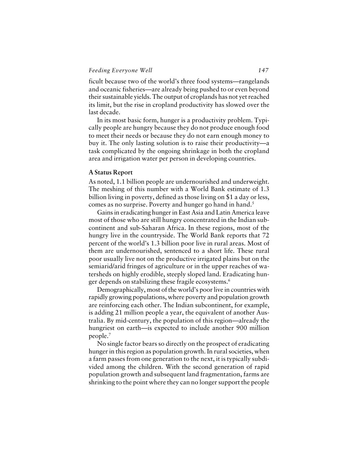ficult because two of the world's three food systems—rangelands and oceanic fisheries—are already being pushed to or even beyond their sustainable yields. The output of croplands has not yet reached its limit, but the rise in cropland productivity has slowed over the last decade.

In its most basic form, hunger is a productivity problem. Typically people are hungry because they do not produce enough food to meet their needs or because they do not earn enough money to buy it. The only lasting solution is to raise their productivity—a task complicated by the ongoing shrinkage in both the cropland area and irrigation water per person in developing countries.

#### **A Status Report**

As noted, 1.1 billion people are undernourished and underweight. The meshing of this number with a World Bank estimate of 1.3 billion living in poverty, defined as those living on \$1 a day or less, comes as no surprise. Poverty and hunger go hand in hand.<sup>5</sup>

Gains in eradicating hunger in East Asia and Latin America leave most of those who are still hungry concentrated in the Indian subcontinent and sub-Saharan Africa. In these regions, most of the hungry live in the countryside. The World Bank reports that 72 percent of the world's 1.3 billion poor live in rural areas. Most of them are undernourished, sentenced to a short life. These rural poor usually live not on the productive irrigated plains but on the semiarid/arid fringes of agriculture or in the upper reaches of watersheds on highly erodible, steeply sloped land. Eradicating hunger depends on stabilizing these fragile ecosystems.<sup>6</sup>

Demographically, most of the world's poor live in countries with rapidly growing populations, where poverty and population growth are reinforcing each other. The Indian subcontinent, for example, is adding 21 million people a year, the equivalent of another Australia. By mid-century, the population of this region—already the hungriest on earth—is expected to include another 900 million people.<sup>7</sup>

No single factor bears so directly on the prospect of eradicating hunger in this region as population growth. In rural societies, when a farm passes from one generation to the next, it is typically subdivided among the children. With the second generation of rapid population growth and subsequent land fragmentation, farms are shrinking to the point where they can no longer support the people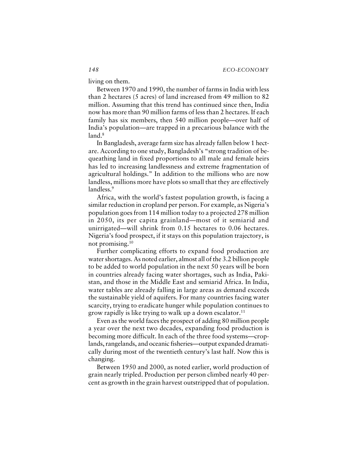living on them.

Between 1970 and 1990, the number of farms in India with less than 2 hectares (5 acres) of land increased from 49 million to 82 million. Assuming that this trend has continued since then, India now has more than 90 million farms of less than 2 hectares. If each family has six members, then 540 million people—over half of India's population—are trapped in a precarious balance with the  $land.<sup>8</sup>$ 

In Bangladesh, average farm size has already fallen below 1 hectare. According to one study, Bangladesh's "strong tradition of bequeathing land in fixed proportions to all male and female heirs has led to increasing landlessness and extreme fragmentation of agricultural holdings." In addition to the millions who are now landless, millions more have plots so small that they are effectively landless.<sup>9</sup>

Africa, with the world's fastest population growth, is facing a similar reduction in cropland per person. For example, as Nigeria's population goes from 114 million today to a projected 278 million in 2050, its per capita grainland—most of it semiarid and unirrigated—will shrink from 0.15 hectares to 0.06 hectares. Nigeria's food prospect, if it stays on this population trajectory, is not promising.<sup>10</sup>

Further complicating efforts to expand food production are water shortages. As noted earlier, almost all of the 3.2 billion people to be added to world population in the next 50 years will be born in countries already facing water shortages, such as India, Pakistan, and those in the Middle East and semiarid Africa. In India, water tables are already falling in large areas as demand exceeds the sustainable yield of aquifers. For many countries facing water scarcity, trying to eradicate hunger while population continues to grow rapidly is like trying to walk up a down escalator.<sup>11</sup>

Even as the world faces the prospect of adding 80 million people a year over the next two decades, expanding food production is becoming more difficult. In each of the three food systems—croplands, rangelands, and oceanic fisheries—output expanded dramatically during most of the twentieth century's last half. Now this is changing.

Between 1950 and 2000, as noted earlier, world production of grain nearly tripled. Production per person climbed nearly 40 percent as growth in the grain harvest outstripped that of population.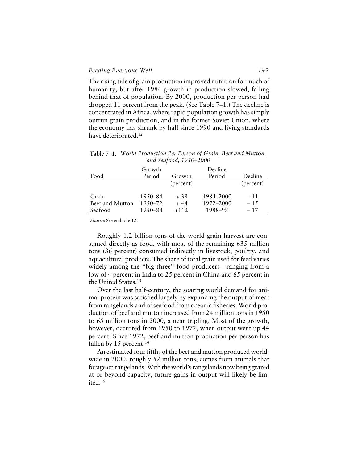The rising tide of grain production improved nutrition for much of humanity, but after 1984 growth in production slowed, falling behind that of population. By 2000, production per person had dropped 11 percent from the peak. (See Table 7–1.) The decline is concentrated in Africa, where rapid population growth has simply outrun grain production, and in the former Soviet Union, where the economy has shrunk by half since 1990 and living standards have deteriorated.<sup>12</sup>

|                 | Growth      |           | Decline   |           |
|-----------------|-------------|-----------|-----------|-----------|
| Food            | Period      | Growth    | Period    | Decline   |
|                 |             | (percent) |           | (percent) |
| Grain           | $1950 - 84$ | $+38$     | 1984-2000 | $-11$     |
| Beef and Mutton | 1950–72     | $+44$     | 1972-2000 | $-1.5$    |
| Seafood         | 1950-88     | $+112$    | 1988-98   | $-17$     |

Table 7–1. *World Production Per Person of Grain, Beef and Mutton, and Seafood, 1950–2000*

*Source:* See endnote 12.

Roughly 1.2 billion tons of the world grain harvest are consumed directly as food, with most of the remaining 635 million tons (36 percent) consumed indirectly in livestock, poultry, and aquacultural products. The share of total grain used for feed varies widely among the "big three" food producers—ranging from a low of 4 percent in India to 25 percent in China and 65 percent in the United States.<sup>13</sup>

Over the last half-century, the soaring world demand for animal protein was satisfied largely by expanding the output of meat from rangelands and of seafood from oceanic fisheries. World production of beef and mutton increased from 24 million tons in 1950 to 65 million tons in 2000, a near tripling. Most of the growth, however, occurred from 1950 to 1972, when output went up 44 percent. Since 1972, beef and mutton production per person has fallen by 15 percent.<sup>14</sup>

An estimated four fifths of the beef and mutton produced worldwide in 2000, roughly 52 million tons, comes from animals that forage on rangelands. With the world's rangelands now being grazed at or beyond capacity, future gains in output will likely be limited.<sup>15</sup>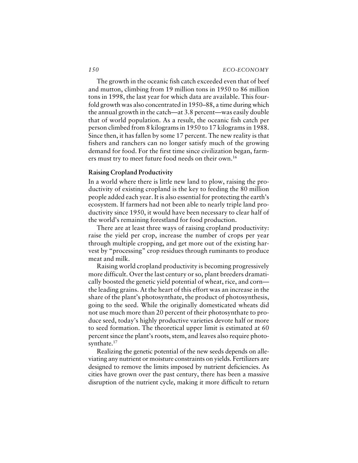The growth in the oceanic fish catch exceeded even that of beef and mutton, climbing from 19 million tons in 1950 to 86 million tons in 1998, the last year for which data are available. This fourfold growth was also concentrated in 1950–88, a time during which the annual growth in the catch—at 3.8 percent—was easily double that of world population. As a result, the oceanic fish catch per person climbed from 8 kilograms in 1950 to 17 kilograms in 1988. Since then, it has fallen by some 17 percent. The new reality is that fishers and ranchers can no longer satisfy much of the growing demand for food. For the first time since civilization began, farmers must try to meet future food needs on their own.<sup>16</sup>

# **Raising Cropland Productivity**

In a world where there is little new land to plow, raising the productivity of existing cropland is the key to feeding the 80 million people added each year. It is also essential for protecting the earth's ecosystem. If farmers had not been able to nearly triple land productivity since 1950, it would have been necessary to clear half of the world's remaining forestland for food production.

There are at least three ways of raising cropland productivity: raise the yield per crop, increase the number of crops per year through multiple cropping, and get more out of the existing harvest by "processing" crop residues through ruminants to produce meat and milk.

Raising world cropland productivity is becoming progressively more difficult. Over the last century or so, plant breeders dramatically boosted the genetic yield potential of wheat, rice, and corn the leading grains. At the heart of this effort was an increase in the share of the plant's photosynthate, the product of photosynthesis, going to the seed. While the originally domesticated wheats did not use much more than 20 percent of their photosynthate to produce seed, today's highly productive varieties devote half or more to seed formation. The theoretical upper limit is estimated at 60 percent since the plant's roots, stem, and leaves also require photosynthate.<sup>17</sup>

Realizing the genetic potential of the new seeds depends on alleviating any nutrient or moisture constraints on yields. Fertilizers are designed to remove the limits imposed by nutrient deficiencies. As cities have grown over the past century, there has been a massive disruption of the nutrient cycle, making it more difficult to return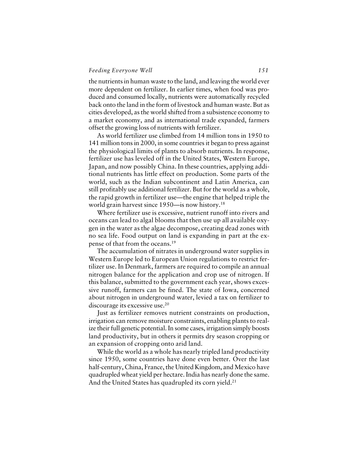the nutrients in human waste to the land, and leaving the world ever more dependent on fertilizer. In earlier times, when food was produced and consumed locally, nutrients were automatically recycled back onto the land in the form of livestock and human waste. But as cities developed, as the world shifted from a subsistence economy to a market economy, and as international trade expanded, farmers offset the growing loss of nutrients with fertilizer.

As world fertilizer use climbed from 14 million tons in 1950 to 141 million tons in 2000, in some countries it began to press against the physiological limits of plants to absorb nutrients. In response, fertilizer use has leveled off in the United States, Western Europe, Japan, and now possibly China. In these countries, applying additional nutrients has little effect on production. Some parts of the world, such as the Indian subcontinent and Latin America, can still profitably use additional fertilizer. But for the world as a whole, the rapid growth in fertilizer use—the engine that helped triple the world grain harvest since 1950—is now history.<sup>18</sup>

Where fertilizer use is excessive, nutrient runoff into rivers and oceans can lead to algal blooms that then use up all available oxygen in the water as the algae decompose, creating dead zones with no sea life. Food output on land is expanding in part at the expense of that from the oceans.<sup>19</sup>

The accumulation of nitrates in underground water supplies in Western Europe led to European Union regulations to restrict fertilizer use. In Denmark, farmers are required to compile an annual nitrogen balance for the application and crop use of nitrogen. If this balance, submitted to the government each year, shows excessive runoff, farmers can be fined. The state of Iowa, concerned about nitrogen in underground water, levied a tax on fertilizer to discourage its excessive use.<sup>20</sup>

Just as fertilizer removes nutrient constraints on production, irrigation can remove moisture constraints, enabling plants to realize their full genetic potential. In some cases, irrigation simply boosts land productivity, but in others it permits dry season cropping or an expansion of cropping onto arid land.

While the world as a whole has nearly tripled land productivity since 1950, some countries have done even better. Over the last half-century, China, France, the United Kingdom, and Mexico have quadrupled wheat yield per hectare. India has nearly done the same. And the United States has quadrupled its corn yield.<sup>21</sup>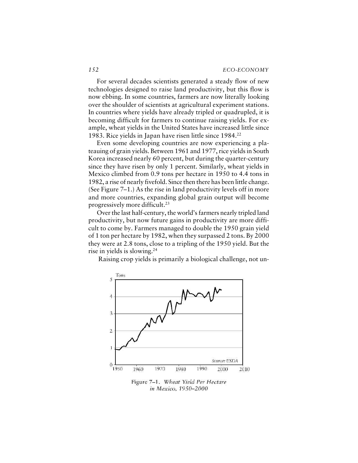For several decades scientists generated a steady flow of new technologies designed to raise land productivity, but this flow is now ebbing. In some countries, farmers are now literally looking over the shoulder of scientists at agricultural experiment stations. In countries where yields have already tripled or quadrupled, it is becoming difficult for farmers to continue raising yields. For example, wheat yields in the United States have increased little since 1983. Rice yields in Japan have risen little since 1984.<sup>22</sup>

Even some developing countries are now experiencing a plateauing of grain yields. Between 1961 and 1977, rice yields in South Korea increased nearly 60 percent, but during the quarter-century since they have risen by only 1 percent. Similarly, wheat yields in Mexico climbed from 0.9 tons per hectare in 1950 to 4.4 tons in 1982, a rise of nearly fivefold. Since then there has been little change. (See Figure 7–1.) As the rise in land productivity levels off in more and more countries, expanding global grain output will become progressively more difficult.<sup>23</sup>

Over the last half-century, the world's farmers nearly tripled land productivity, but now future gains in productivity are more difficult to come by. Farmers managed to double the 1950 grain yield of 1 ton per hectare by 1982, when they surpassed 2 tons. By 2000 they were at 2.8 tons, close to a tripling of the 1950 yield. But the rise in yields is slowing.<sup>24</sup>

Raising crop yields is primarily a biological challenge, not un-



in Mexico, 1950-2000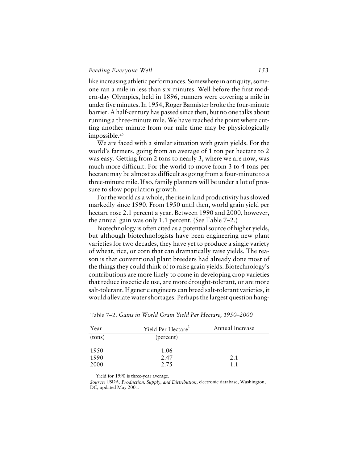like increasing athletic performances. Somewhere in antiquity, someone ran a mile in less than six minutes. Well before the first modern-day Olympics, held in 1896, runners were covering a mile in under five minutes. In 1954, Roger Bannister broke the four-minute barrier. A half-century has passed since then, but no one talks about running a three-minute mile. We have reached the point where cutting another minute from our mile time may be physiologically impossible.<sup>25</sup>

We are faced with a similar situation with grain yields. For the world's farmers, going from an average of 1 ton per hectare to 2 was easy. Getting from 2 tons to nearly 3, where we are now, was much more difficult. For the world to move from 3 to 4 tons per hectare may be almost as difficult as going from a four-minute to a three-minute mile. If so, family planners will be under a lot of pressure to slow population growth.

For the world as a whole, the rise in land productivity has slowed markedly since 1990. From 1950 until then, world grain yield per hectare rose 2.1 percent a year. Between 1990 and 2000, however, the annual gain was only 1.1 percent. (See Table 7–2.)

Biotechnology is often cited as a potential source of higher yields, but although biotechnologists have been engineering new plant varieties for two decades, they have yet to produce a single variety of wheat, rice, or corn that can dramatically raise yields. The reason is that conventional plant breeders had already done most of the things they could think of to raise grain yields. Biotechnology's contributions are more likely to come in developing crop varieties that reduce insecticide use, are more drought-tolerant, or are more salt-tolerant. If genetic engineers can breed salt-tolerant varieties, it would alleviate water shortages. Perhaps the largest question hang-

| Year   | Yield Per Hectare <sup>1</sup> | Annual Increase |
|--------|--------------------------------|-----------------|
| (tons) | (percent)                      |                 |
| 1950   | 1.06                           |                 |
| 1990   | 2.47                           | 2.1             |
| 2000   | 2.75                           | 11              |

Table 7–2. *Gains in World Grain Yield Per Hectare, 1950–2000*

 $1$ <sup>1</sup>Yield for 1990 is three-year average.

*Source:* USDA, *Production, Supply, and Distribution,* electronic database, Washington, DC, updated May 2001.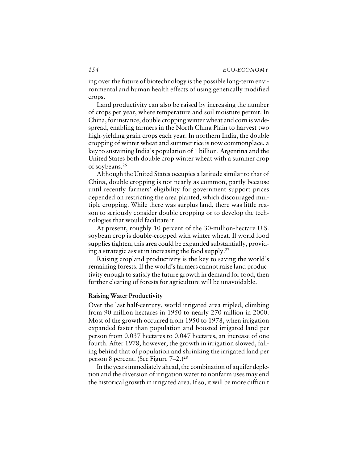ing over the future of biotechnology is the possible long-term environmental and human health effects of using genetically modified crops.

Land productivity can also be raised by increasing the number of crops per year, where temperature and soil moisture permit. In China, for instance, double cropping winter wheat and corn is widespread, enabling farmers in the North China Plain to harvest two high-yielding grain crops each year. In northern India, the double cropping of winter wheat and summer rice is now commonplace, a key to sustaining India's population of 1 billion. Argentina and the United States both double crop winter wheat with a summer crop of soybeans.<sup>26</sup>

Although the United States occupies a latitude similar to that of China, double cropping is not nearly as common, partly because until recently farmers' eligibility for government support prices depended on restricting the area planted, which discouraged multiple cropping. While there was surplus land, there was little reason to seriously consider double cropping or to develop the technologies that would facilitate it.

At present, roughly 10 percent of the 30-million-hectare U.S. soybean crop is double-cropped with winter wheat. If world food supplies tighten, this area could be expanded substantially, providing a strategic assist in increasing the food supply.<sup>27</sup>

Raising cropland productivity is the key to saving the world's remaining forests. If the world's farmers cannot raise land productivity enough to satisfy the future growth in demand for food, then further clearing of forests for agriculture will be unavoidable.

### **Raising Water Productivity**

Over the last half-century, world irrigated area tripled, climbing from 90 million hectares in 1950 to nearly 270 million in 2000. Most of the growth occurred from 1950 to 1978, when irrigation expanded faster than population and boosted irrigated land per person from 0.037 hectares to 0.047 hectares, an increase of one fourth. After 1978, however, the growth in irrigation slowed, falling behind that of population and shrinking the irrigated land per person 8 percent. (See Figure 7–2.)<sup>28</sup>

In the years immediately ahead, the combination of aquifer depletion and the diversion of irrigation water to nonfarm uses may end the historical growth in irrigated area. If so, it will be more difficult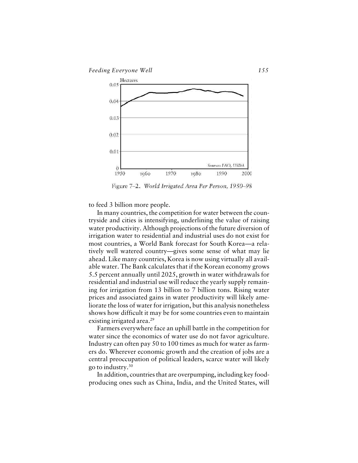

Figure 7-2. World Irrigated Area Per Person, 1950-98

to feed 3 billion more people.

In many countries, the competition for water between the countryside and cities is intensifying, underlining the value of raising water productivity. Although projections of the future diversion of irrigation water to residential and industrial uses do not exist for most countries, a World Bank forecast for South Korea—a relatively well watered country—gives some sense of what may lie ahead. Like many countries, Korea is now using virtually all available water. The Bank calculates that if the Korean economy grows 5.5 percent annually until 2025, growth in water withdrawals for residential and industrial use will reduce the yearly supply remaining for irrigation from 13 billion to 7 billion tons. Rising water prices and associated gains in water productivity will likely ameliorate the loss of water for irrigation, but this analysis nonetheless shows how difficult it may be for some countries even to maintain existing irrigated area.<sup>29</sup>

Farmers everywhere face an uphill battle in the competition for water since the economics of water use do not favor agriculture. Industry can often pay 50 to 100 times as much for water as farmers do. Wherever economic growth and the creation of jobs are a central preoccupation of political leaders, scarce water will likely go to industry.<sup>30</sup>

In addition, countries that are overpumping, including key foodproducing ones such as China, India, and the United States, will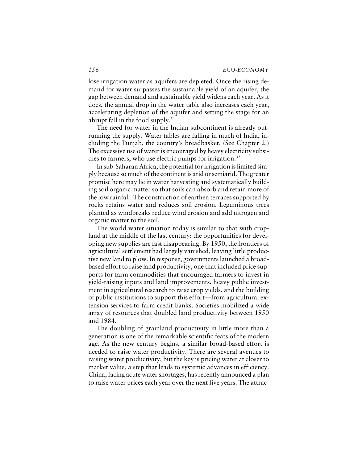lose irrigation water as aquifers are depleted. Once the rising demand for water surpasses the sustainable yield of an aquifer, the gap between demand and sustainable yield widens each year. As it does, the annual drop in the water table also increases each year, accelerating depletion of the aquifer and setting the stage for an abrupt fall in the food supply.<sup>31</sup>

The need for water in the Indian subcontinent is already outrunning the supply. Water tables are falling in much of India, including the Punjab, the country's breadbasket. (See Chapter 2.) The excessive use of water is encouraged by heavy electricity subsidies to farmers, who use electric pumps for irrigation.<sup>32</sup>

In sub-Saharan Africa, the potential for irrigation is limited simply because so much of the continent is arid or semiarid. The greater promise here may lie in water harvesting and systematically building soil organic matter so that soils can absorb and retain more of the low rainfall. The construction of earthen terraces supported by rocks retains water and reduces soil erosion. Leguminous trees planted as windbreaks reduce wind erosion and add nitrogen and organic matter to the soil.

The world water situation today is similar to that with cropland at the middle of the last century: the opportunities for developing new supplies are fast disappearing. By 1950, the frontiers of agricultural settlement had largely vanished, leaving little productive new land to plow. In response, governments launched a broadbased effort to raise land productivity, one that included price supports for farm commodities that encouraged farmers to invest in yield-raising inputs and land improvements, heavy public investment in agricultural research to raise crop yields, and the building of public institutions to support this effort—from agricultural extension services to farm credit banks. Societies mobilized a wide array of resources that doubled land productivity between 1950 and 1984.

The doubling of grainland productivity in little more than a generation is one of the remarkable scientific feats of the modern age. As the new century begins, a similar broad-based effort is needed to raise water productivity. There are several avenues to raising water productivity, but the key is pricing water at closer to market value, a step that leads to systemic advances in efficiency. China, facing acute water shortages, has recently announced a plan to raise water prices each year over the next five years. The attrac-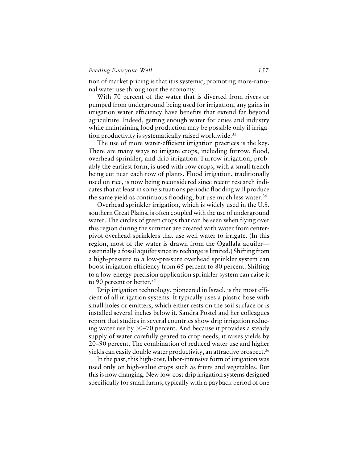tion of market pricing is that it is systemic, promoting more-rational water use throughout the economy.

With 70 percent of the water that is diverted from rivers or pumped from underground being used for irrigation, any gains in irrigation water efficiency have benefits that extend far beyond agriculture. Indeed, getting enough water for cities and industry while maintaining food production may be possible only if irrigation productivity is systematically raised worldwide.<sup>33</sup>

The use of more water-efficient irrigation practices is the key. There are many ways to irrigate crops, including furrow, flood, overhead sprinkler, and drip irrigation. Furrow irrigation, probably the earliest form, is used with row crops, with a small trench being cut near each row of plants. Flood irrigation, traditionally used on rice, is now being reconsidered since recent research indicates that at least in some situations periodic flooding will produce the same yield as continuous flooding, but use much less water.<sup>34</sup>

Overhead sprinkler irrigation, which is widely used in the U.S. southern Great Plains, is often coupled with the use of underground water. The circles of green crops that can be seen when flying over this region during the summer are created with water from centerpivot overhead sprinklers that use well water to irrigate. (In this region, most of the water is drawn from the Ogallala aquifer essentially a fossil aquifer since its recharge is limited.) Shifting from a high-pressure to a low-pressure overhead sprinkler system can boost irrigation efficiency from 65 percent to 80 percent. Shifting to a low-energy precision application sprinkler system can raise it to 90 percent or better.<sup>35</sup>

Drip irrigation technology, pioneered in Israel, is the most efficient of all irrigation systems. It typically uses a plastic hose with small holes or emitters, which either rests on the soil surface or is installed several inches below it. Sandra Postel and her colleagues report that studies in several countries show drip irrigation reducing water use by 30–70 percent. And because it provides a steady supply of water carefully geared to crop needs, it raises yields by 20–90 percent. The combination of reduced water use and higher yields can easily double water productivity, an attractive prospect.<sup>36</sup>

In the past, this high-cost, labor-intensive form of irrigation was used only on high-value crops such as fruits and vegetables. But this is now changing. New low-cost drip irrigation systems designed specifically for small farms, typically with a payback period of one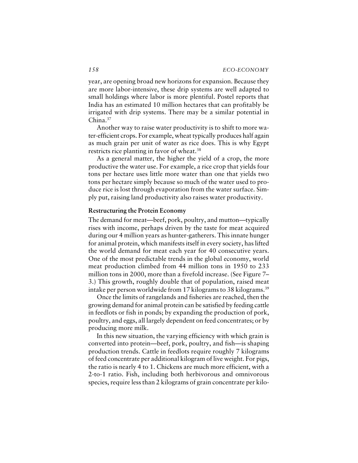year, are opening broad new horizons for expansion. Because they are more labor-intensive, these drip systems are well adapted to small holdings where labor is more plentiful. Postel reports that India has an estimated 10 million hectares that can profitably be irrigated with drip systems. There may be a similar potential in China.<sup>37</sup>

Another way to raise water productivity is to shift to more water-efficient crops. For example, wheat typically produces half again as much grain per unit of water as rice does. This is why Egypt restricts rice planting in favor of wheat.<sup>38</sup>

As a general matter, the higher the yield of a crop, the more productive the water use. For example, a rice crop that yields four tons per hectare uses little more water than one that yields two tons per hectare simply because so much of the water used to produce rice is lost through evaporation from the water surface. Simply put, raising land productivity also raises water productivity.

### **Restructuring the Protein Economy**

The demand for meat—beef, pork, poultry, and mutton—typically rises with income, perhaps driven by the taste for meat acquired during our 4 million years as hunter-gatherers. This innate hunger for animal protein, which manifests itself in every society, has lifted the world demand for meat each year for 40 consecutive years. One of the most predictable trends in the global economy, world meat production climbed from 44 million tons in 1950 to 233 million tons in 2000, more than a fivefold increase. (See Figure 7– 3.) This growth, roughly double that of population, raised meat intake per person worldwide from 17 kilograms to 38 kilograms.<sup>39</sup>

Once the limits of rangelands and fisheries are reached, then the growing demand for animal protein can be satisfied by feeding cattle in feedlots or fish in ponds; by expanding the production of pork, poultry, and eggs, all largely dependent on feed concentrates; or by producing more milk.

In this new situation, the varying efficiency with which grain is converted into protein—beef, pork, poultry, and fish—is shaping production trends. Cattle in feedlots require roughly 7 kilograms of feed concentrate per additional kilogram of live weight. For pigs, the ratio is nearly 4 to 1. Chickens are much more efficient, with a 2-to-1 ratio. Fish, including both herbivorous and omnivorous species, require less than 2 kilograms of grain concentrate per kilo-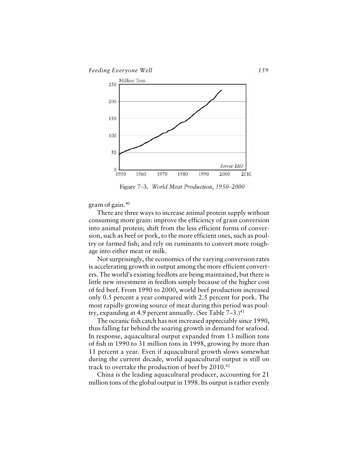

Figure 7-3. World Meat Production, 1950-2000

gram of gain. $40$ 

There are three ways to increase animal protein supply without consuming more grain: improve the efficiency of grain conversion into animal protein; shift from the less efficient forms of conversion, such as beef or pork, to the more efficient ones, such as poultry or farmed fish; and rely on ruminants to convert more roughage into either meat or milk.

Not surprisingly, the economics of the varying conversion rates is accelerating growth in output among the more efficient converters. The world's existing feedlots are being maintained, but there is little new investment in feedlots simply because of the higher cost of fed beef. From 1990 to 2000, world beef production increased only 0.5 percent a year compared with 2.5 percent for pork. The most rapidly growing source of meat during this period was poultry, expanding at 4.9 percent annually. (See Table  $7-3$ .)<sup>41</sup>

The oceanic fish catch has not increased appreciably since 1990, thus falling far behind the soaring growth in demand for seafood. In response, aquacultural output expanded from 13 million tons of fish in 1990 to 31 million tons in 1998, growing by more than 11 percent a year. Even if aquacultural growth slows somewhat during the current decade, world aquacultural output is still on track to overtake the production of beef by 2010.<sup>42</sup>

China is the leading aquacultural producer, accounting for 21 million tons of the global output in 1998. Its output is rather evenly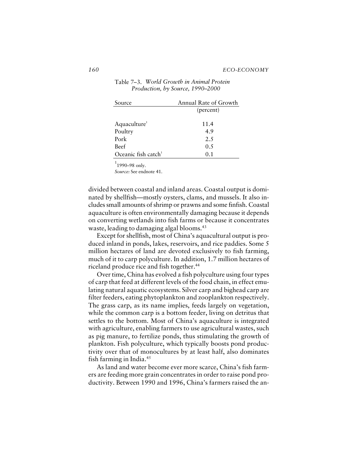| Source                          | Annual Rate of Growth |
|---------------------------------|-----------------------|
|                                 | (percent)             |
| Aquaculture <sup>1</sup>        | 11.4                  |
| Poultry                         | 4.9                   |
| Pork                            | 2.5                   |
|                                 |                       |
| <b>Beef</b>                     | 0.5                   |
| Oceanic fish catch <sup>1</sup> | 0.1                   |

#### Table 7–3. *World Growth in Animal Protein Production, by Source, 1990–2000*

 $^{1}$ 1990–98 only.

*Source:* See endnote 41.

divided between coastal and inland areas. Coastal output is dominated by shellfish—mostly oysters, clams, and mussels. It also includes small amounts of shrimp or prawns and some finfish. Coastal aquaculture is often environmentally damaging because it depends on converting wetlands into fish farms or because it concentrates waste, leading to damaging algal blooms.<sup>43</sup>

Except for shellfish, most of China's aquacultural output is produced inland in ponds, lakes, reservoirs, and rice paddies. Some 5 million hectares of land are devoted exclusively to fish farming, much of it to carp polyculture. In addition, 1.7 million hectares of riceland produce rice and fish together.<sup>44</sup>

Over time, China has evolved a fish polyculture using four types of carp that feed at different levels of the food chain, in effect emulating natural aquatic ecosystems. Silver carp and bighead carp are filter feeders, eating phytoplankton and zooplankton respectively. The grass carp, as its name implies, feeds largely on vegetation, while the common carp is a bottom feeder, living on detritus that settles to the bottom. Most of China's aquaculture is integrated with agriculture, enabling farmers to use agricultural wastes, such as pig manure, to fertilize ponds, thus stimulating the growth of plankton. Fish polyculture, which typically boosts pond productivity over that of monocultures by at least half, also dominates fish farming in India.<sup>45</sup>

As land and water become ever more scarce, China's fish farmers are feeding more grain concentrates in order to raise pond productivity. Between 1990 and 1996, China's farmers raised the an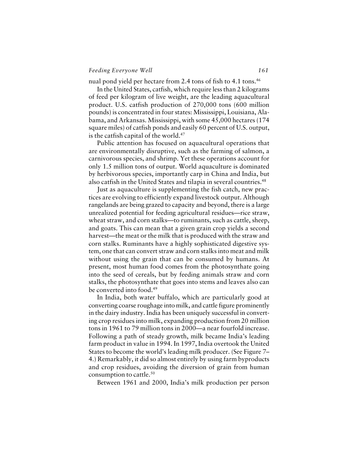nual pond yield per hectare from 2.4 tons of fish to 4.1 tons.<sup>46</sup>

In the United States, catfish, which require less than 2 kilograms of feed per kilogram of live weight, are the leading aquacultural product. U.S. catfish production of 270,000 tons (600 million pounds) is concentrated in four states: Mississippi, Louisiana, Alabama, and Arkansas. Mississippi, with some 45,000 hectares (174 square miles) of catfish ponds and easily 60 percent of U.S. output, is the catfish capital of the world.<sup>47</sup>

Public attention has focused on aquacultural operations that are environmentally disruptive, such as the farming of salmon, a carnivorous species, and shrimp. Yet these operations account for only 1.5 million tons of output. World aquaculture is dominated by herbivorous species, importantly carp in China and India, but also catfish in the United States and tilapia in several countries.<sup>48</sup>

Just as aquaculture is supplementing the fish catch, new practices are evolving to efficiently expand livestock output. Although rangelands are being grazed to capacity and beyond, there is a large unrealized potential for feeding agricultural residues—rice straw, wheat straw, and corn stalks—to ruminants, such as cattle, sheep, and goats. This can mean that a given grain crop yields a second harvest—the meat or the milk that is produced with the straw and corn stalks. Ruminants have a highly sophisticated digestive system, one that can convert straw and corn stalks into meat and milk without using the grain that can be consumed by humans. At present, most human food comes from the photosynthate going into the seed of cereals, but by feeding animals straw and corn stalks, the photosynthate that goes into stems and leaves also can be converted into food.<sup>49</sup>

In India, both water buffalo, which are particularly good at converting coarse roughage into milk, and cattle figure prominently in the dairy industry. India has been uniquely successful in converting crop residues into milk, expanding production from 20 million tons in 1961 to 79 million tons in 2000—a near fourfold increase. Following a path of steady growth, milk became India's leading farm product in value in 1994. In 1997, India overtook the United States to become the world's leading milk producer. (See Figure 7– 4.) Remarkably, it did so almost entirely by using farm byproducts and crop residues, avoiding the diversion of grain from human consumption to cattle.<sup>50</sup>

Between 1961 and 2000, India's milk production per person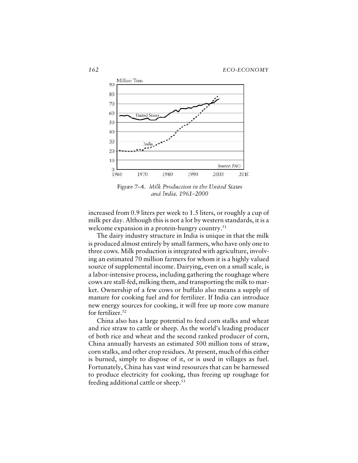

Figure 7-4. Milk Production in the United States and India, 1961-2000

increased from 0.9 liters per week to 1.5 liters, or roughly a cup of milk per day. Although this is not a lot by western standards, it is a welcome expansion in a protein-hungry country.<sup>51</sup>

The dairy industry structure in India is unique in that the milk is produced almost entirely by small farmers, who have only one to three cows. Milk production is integrated with agriculture, involving an estimated 70 million farmers for whom it is a highly valued source of supplemental income. Dairying, even on a small scale, is a labor-intensive process, including gathering the roughage where cows are stall-fed, milking them, and transporting the milk to market. Ownership of a few cows or buffalo also means a supply of manure for cooking fuel and for fertilizer. If India can introduce new energy sources for cooking, it will free up more cow manure for fertilizer.<sup>52</sup>

China also has a large potential to feed corn stalks and wheat and rice straw to cattle or sheep. As the world's leading producer of both rice and wheat and the second ranked producer of corn, China annually harvests an estimated 500 million tons of straw, corn stalks, and other crop residues. At present, much of this either is burned, simply to dispose of it, or is used in villages as fuel. Fortunately, China has vast wind resources that can be harnessed to produce electricity for cooking, thus freeing up roughage for feeding additional cattle or sheep.53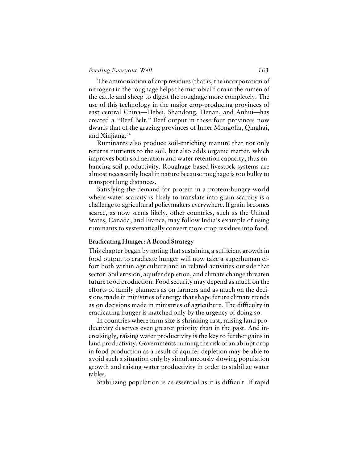The ammoniation of crop residues (that is, the incorporation of nitrogen) in the roughage helps the microbial flora in the rumen of the cattle and sheep to digest the roughage more completely. The use of this technology in the major crop-producing provinces of east central China—Hebei, Shandong, Henan, and Anhui—has created a "Beef Belt." Beef output in these four provinces now dwarfs that of the grazing provinces of Inner Mongolia, Qinghai, and Xinjiang.<sup>54</sup>

Ruminants also produce soil-enriching manure that not only returns nutrients to the soil, but also adds organic matter, which improves both soil aeration and water retention capacity, thus enhancing soil productivity. Roughage-based livestock systems are almost necessarily local in nature because roughage is too bulky to transport long distances.

Satisfying the demand for protein in a protein-hungry world where water scarcity is likely to translate into grain scarcity is a challenge to agricultural policymakers everywhere. If grain becomes scarce, as now seems likely, other countries, such as the United States, Canada, and France, may follow India's example of using ruminants to systematically convert more crop residues into food.

# **Eradicating Hunger: A Broad Strategy**

This chapter began by noting that sustaining a sufficient growth in food output to eradicate hunger will now take a superhuman effort both within agriculture and in related activities outside that sector. Soil erosion, aquifer depletion, and climate change threaten future food production. Food security may depend as much on the efforts of family planners as on farmers and as much on the decisions made in ministries of energy that shape future climate trends as on decisions made in ministries of agriculture. The difficulty in eradicating hunger is matched only by the urgency of doing so.

In countries where farm size is shrinking fast, raising land productivity deserves even greater priority than in the past. And increasingly, raising water productivity is the key to further gains in land productivity. Governments running the risk of an abrupt drop in food production as a result of aquifer depletion may be able to avoid such a situation only by simultaneously slowing population growth and raising water productivity in order to stabilize water tables.

Stabilizing population is as essential as it is difficult. If rapid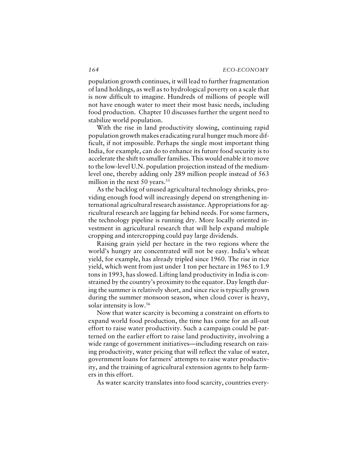population growth continues, it will lead to further fragmentation of land holdings, as well as to hydrological poverty on a scale that is now difficult to imagine. Hundreds of millions of people will not have enough water to meet their most basic needs, including food production. Chapter 10 discusses further the urgent need to stabilize world population.

With the rise in land productivity slowing, continuing rapid population growth makes eradicating rural hunger much more difficult, if not impossible. Perhaps the single most important thing India, for example, can do to enhance its future food security is to accelerate the shift to smaller families. This would enable it to move to the low-level U.N. population projection instead of the mediumlevel one, thereby adding only 289 million people instead of 563 million in the next 50 years. $55$ 

As the backlog of unused agricultural technology shrinks, providing enough food will increasingly depend on strengthening international agricultural research assistance. Appropriations for agricultural research are lagging far behind needs. For some farmers, the technology pipeline is running dry. More locally oriented investment in agricultural research that will help expand multiple cropping and intercropping could pay large dividends.

Raising grain yield per hectare in the two regions where the world's hungry are concentrated will not be easy. India's wheat yield, for example, has already tripled since 1960. The rise in rice yield, which went from just under 1 ton per hectare in 1965 to 1.9 tons in 1993, has slowed. Lifting land productivity in India is constrained by the country's proximity to the equator. Day length during the summer is relatively short, and since rice is typically grown during the summer monsoon season, when cloud cover is heavy, solar intensity is low.<sup>56</sup>

Now that water scarcity is becoming a constraint on efforts to expand world food production, the time has come for an all-out effort to raise water productivity. Such a campaign could be patterned on the earlier effort to raise land productivity, involving a wide range of government initiatives—including research on raising productivity, water pricing that will reflect the value of water, government loans for farmers' attempts to raise water productivity, and the training of agricultural extension agents to help farmers in this effort.

As water scarcity translates into food scarcity, countries every-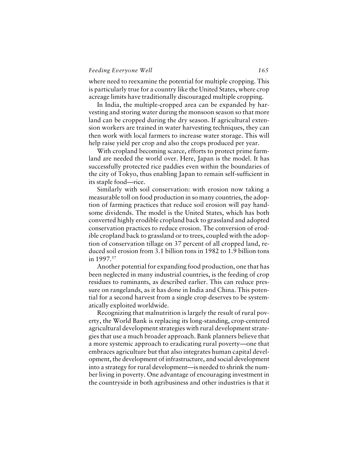where need to reexamine the potential for multiple cropping. This is particularly true for a country like the United States, where crop acreage limits have traditionally discouraged multiple cropping.

In India, the multiple-cropped area can be expanded by harvesting and storing water during the monsoon season so that more land can be cropped during the dry season. If agricultural extension workers are trained in water harvesting techniques, they can then work with local farmers to increase water storage. This will help raise yield per crop and also the crops produced per year.

With cropland becoming scarce, efforts to protect prime farmland are needed the world over. Here, Japan is the model. It has successfully protected rice paddies even within the boundaries of the city of Tokyo, thus enabling Japan to remain self-sufficient in its staple food—rice.

Similarly with soil conservation: with erosion now taking a measurable toll on food production in so many countries, the adoption of farming practices that reduce soil erosion will pay handsome dividends. The model is the United States, which has both converted highly erodible cropland back to grassland and adopted conservation practices to reduce erosion. The conversion of erodible cropland back to grassland or to trees, coupled with the adoption of conservation tillage on 37 percent of all cropped land, reduced soil erosion from 3.1 billion tons in 1982 to 1.9 billion tons in 1997.<sup>57</sup>

Another potential for expanding food production, one that has been neglected in many industrial countries, is the feeding of crop residues to ruminants, as described earlier. This can reduce pressure on rangelands, as it has done in India and China. This potential for a second harvest from a single crop deserves to be systematically exploited worldwide.

Recognizing that malnutrition is largely the result of rural poverty, the World Bank is replacing its long-standing, crop-centered agricultural development strategies with rural development strategies that use a much broader approach. Bank planners believe that a more systemic approach to eradicating rural poverty—one that embraces agriculture but that also integrates human capital development, the development of infrastructure, and social development into a strategy for rural development—is needed to shrink the number living in poverty. One advantage of encouraging investment in the countryside in both agribusiness and other industries is that it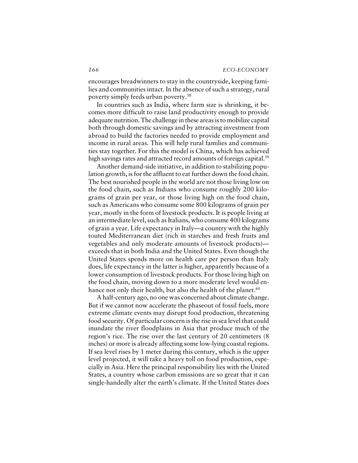encourages breadwinners to stay in the countryside, keeping families and communities intact. In the absence of such a strategy, rural poverty simply feeds urban poverty.<sup>58</sup>

In countries such as India, where farm size is shrinking, it becomes more difficult to raise land productivity enough to provide adequate nutrition. The challenge in these areas is to mobilize capital both through domestic savings and by attracting investment from abroad to build the factories needed to provide employment and income in rural areas. This will help rural families and communities stay together. For this the model is China, which has achieved high savings rates and attracted record amounts of foreign capital.<sup>59</sup>

Another demand-side initiative, in addition to stabilizing population growth, is for the affluent to eat further down the food chain. The best nourished people in the world are not those living low on the food chain, such as Indians who consume roughly 200 kilograms of grain per year, or those living high on the food chain, such as Americans who consume some 800 kilograms of grain per year, mostly in the form of livestock products. It is people living at an intermediate level, such as Italians, who consume 400 kilograms of grain a year. Life expectancy in Italy—a country with the highly touted Mediterranean diet (rich in starches and fresh fruits and vegetables and only moderate amounts of livestock products) exceeds that in both India and the United States. Even though the United States spends more on health care per person than Italy does, life expectancy in the latter is higher, apparently because of a lower consumption of livestock products. For those living high on the food chain, moving down to a more moderate level would enhance not only their health, but also the health of the planet.<sup>60</sup>

A half-century ago, no one was concerned about climate change. But if we cannot now accelerate the phaseout of fossil fuels, more extreme climate events may disrupt food production, threatening food security. Of particular concern is the rise in sea level that could inundate the river floodplains in Asia that produce much of the region's rice. The rise over the last century of 20 centimeters (8 inches) or more is already affecting some low-lying coastal regions. If sea level rises by 1 meter during this century, which is the upper level projected, it will take a heavy toll on food production, especially in Asia. Here the principal responsibility lies with the United States, a country whose carbon emissions are so great that it can single-handedly alter the earth's climate. If the United States does